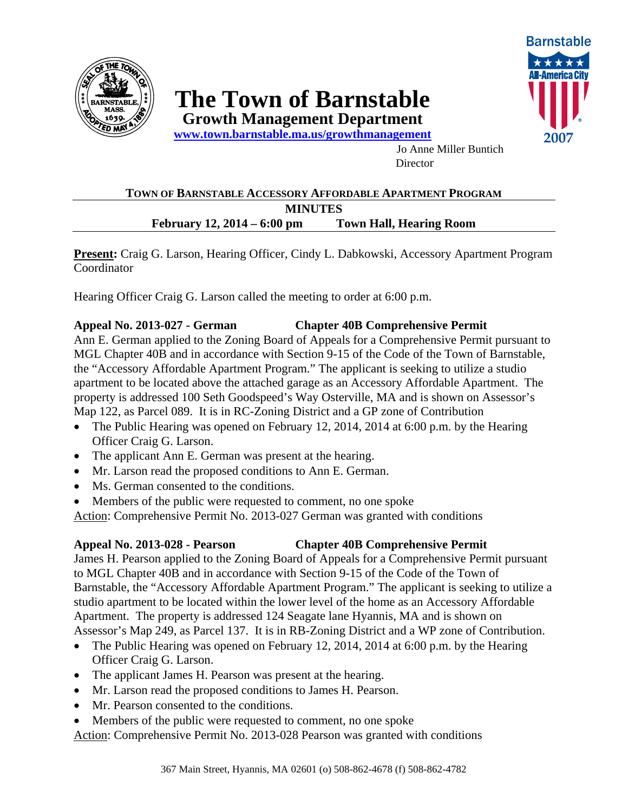

# **The Town of Barnstable**

**Growth Management Department www.town.barnstable.ma.us/growthmanagement** 



Jo Anne Miller Buntich **Director** 

### **TOWN OF BARNSTABLE ACCESSORY AFFORDABLE APARTMENT PROGRAM MINUTES February 12, 2014 – 6:00 pm Town Hall, Hearing Room**

**Present:** Craig G. Larson, Hearing Officer, Cindy L. Dabkowski, Accessory Apartment Program Coordinator

Hearing Officer Craig G. Larson called the meeting to order at 6:00 p.m.

#### **Appeal No. 2013-027 - German Chapter 40B Comprehensive Permit**

Ann E. German applied to the Zoning Board of Appeals for a Comprehensive Permit pursuant to MGL Chapter 40B and in accordance with Section 9-15 of the Code of the Town of Barnstable, the "Accessory Affordable Apartment Program." The applicant is seeking to utilize a studio apartment to be located above the attached garage as an Accessory Affordable Apartment. The property is addressed 100 Seth Goodspeed's Way Osterville, MA and is shown on Assessor's Map 122, as Parcel 089. It is in RC-Zoning District and a GP zone of Contribution

- The Public Hearing was opened on February 12, 2014, 2014 at 6:00 p.m. by the Hearing Officer Craig G. Larson.
- The applicant Ann E. German was present at the hearing.
- Mr. Larson read the proposed conditions to Ann E. German.
- Ms. German consented to the conditions.
- Members of the public were requested to comment, no one spoke

Action: Comprehensive Permit No. 2013-027 German was granted with conditions

## **Appeal No. 2013-028 - Pearson Chapter 40B Comprehensive Permit**

James H. Pearson applied to the Zoning Board of Appeals for a Comprehensive Permit pursuant to MGL Chapter 40B and in accordance with Section 9-15 of the Code of the Town of Barnstable, the "Accessory Affordable Apartment Program." The applicant is seeking to utilize a studio apartment to be located within the lower level of the home as an Accessory Affordable Apartment. The property is addressed 124 Seagate lane Hyannis, MA and is shown on Assessor's Map 249, as Parcel 137. It is in RB-Zoning District and a WP zone of Contribution.

- The Public Hearing was opened on February 12, 2014, 2014 at 6:00 p.m. by the Hearing Officer Craig G. Larson.
- The applicant James H. Pearson was present at the hearing.
- Mr. Larson read the proposed conditions to James H. Pearson.
- Mr. Pearson consented to the conditions.
- Members of the public were requested to comment, no one spoke

Action: Comprehensive Permit No. 2013-028 Pearson was granted with conditions